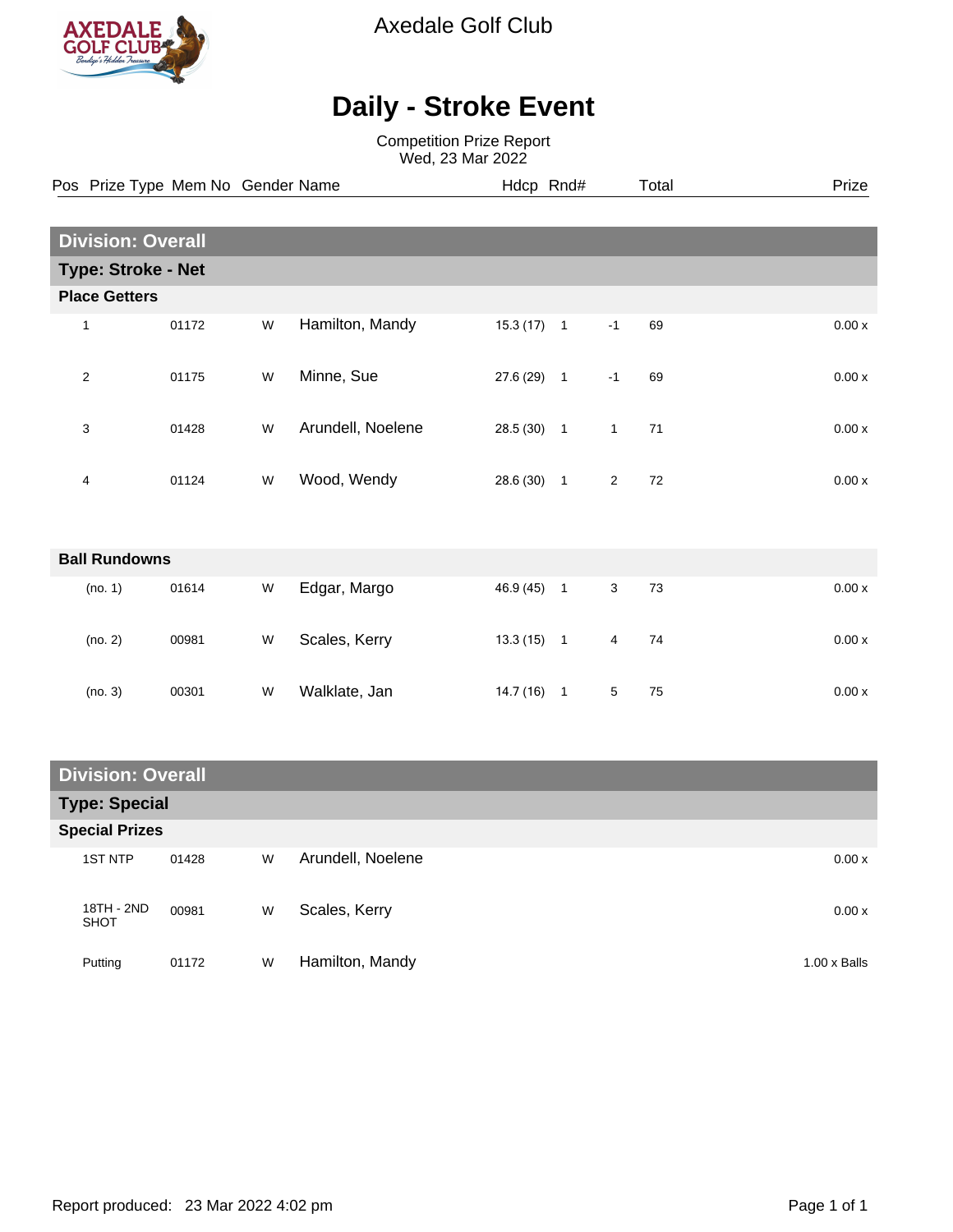

Axedale Golf Club

## **Daily - Stroke Event**

Competition Prize Report Wed, 23 Mar 2022

|                           |                      | Pos Prize Type Mem No Gender Name |   |                   | Hdcp Rnd#    |                |                | Total | Prize |  |
|---------------------------|----------------------|-----------------------------------|---|-------------------|--------------|----------------|----------------|-------|-------|--|
|                           |                      |                                   |   |                   |              |                |                |       |       |  |
| <b>Division: Overall</b>  |                      |                                   |   |                   |              |                |                |       |       |  |
| <b>Type: Stroke - Net</b> |                      |                                   |   |                   |              |                |                |       |       |  |
|                           | <b>Place Getters</b> |                                   |   |                   |              |                |                |       |       |  |
|                           | 1                    | 01172                             | W | Hamilton, Mandy   | 15.3(17)     | $\overline{1}$ | $-1$           | 69    | 0.00x |  |
|                           | $\overline{2}$       | 01175                             | W | Minne, Sue        | 27.6 (29) 1  |                | $-1$           | 69    | 0.00x |  |
|                           | 3                    | 01428                             | W | Arundell, Noelene | $28.5(30)$ 1 |                | $\mathbf{1}$   | 71    | 0.00x |  |
|                           | 4                    | 01124                             | W | Wood, Wendy       | 28.6 (30) 1  |                | $\overline{2}$ | 72    | 0.00x |  |
|                           |                      |                                   |   |                   |              |                |                |       |       |  |
| <b>Ball Rundowns</b>      |                      |                                   |   |                   |              |                |                |       |       |  |
|                           | (no. 1)              | 01614                             | W | Edgar, Margo      | 46.9 (45)    | $\overline{1}$ | 3              | 73    | 0.00x |  |
|                           | (no. 2)              | 00981                             | W | Scales, Kerry     | $13.3(15)$ 1 |                | 4              | 74    | 0.00x |  |
|                           | (no. 3)              | 00301                             | W | Walklate, Jan     | $14.7(16)$ 1 |                | 5              | 75    | 0.00x |  |

| <b>Division: Overall</b> |       |   |                   |                     |  |  |  |
|--------------------------|-------|---|-------------------|---------------------|--|--|--|
| <b>Type: Special</b>     |       |   |                   |                     |  |  |  |
| <b>Special Prizes</b>    |       |   |                   |                     |  |  |  |
| <b>1ST NTP</b>           | 01428 | W | Arundell, Noelene | 0.00x               |  |  |  |
| 18TH - 2ND<br>SHOT       | 00981 | W | Scales, Kerry     | 0.00x               |  |  |  |
| Putting                  | 01172 | W | Hamilton, Mandy   | $1.00 \times$ Balls |  |  |  |